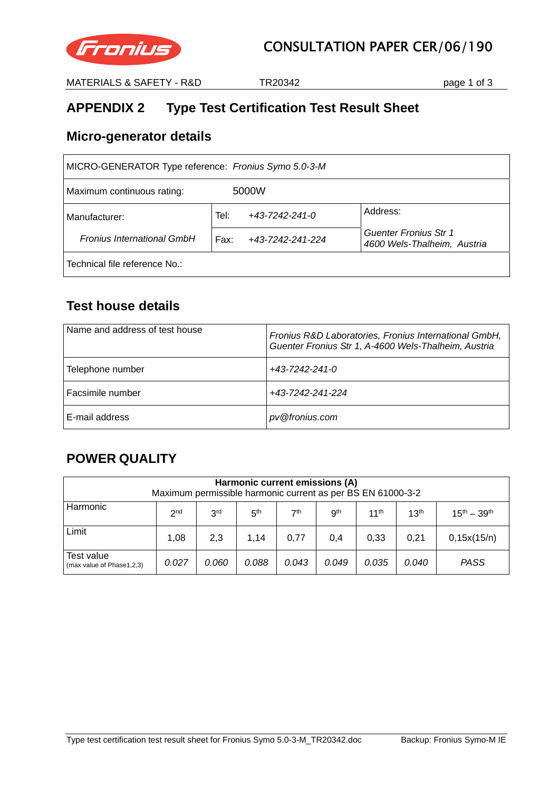

MATERIALS & SAFETY - R&D TR20342 Page 1 of 3

# **APPENDIX 2 Type Test Certification Test Result Sheet**

### **Micro-generator details**

| MICRO-GENERATOR Type reference: Fronius Symo 5.0-3-M |                                |                                                      |  |  |  |  |
|------------------------------------------------------|--------------------------------|------------------------------------------------------|--|--|--|--|
| 5000W<br>Maximum continuous rating:                  |                                |                                                      |  |  |  |  |
| Manufacturer:                                        | $+43 - 7242 - 241 - 0$<br>Tel: | Address:                                             |  |  |  |  |
| <b>Fronius International GmbH</b>                    | Fax:<br>+43-7242-241-224       | Guenter Fronius Str 1<br>4600 Wels-Thalheim, Austria |  |  |  |  |
| Technical file reference No.:                        |                                |                                                      |  |  |  |  |

## **Test house details**

| Name and address of test house | Fronius R&D Laboratories, Fronius International GmbH,<br>Guenter Fronius Str 1, A-4600 Wels-Thalheim, Austria |
|--------------------------------|---------------------------------------------------------------------------------------------------------------|
| Telephone number               | +43-7242-241-0                                                                                                |
| Facsimile number               | +43-7242-241-224                                                                                              |
| E-mail address                 | pv@fronius.com                                                                                                |

## **POWER QUALITY**

| Harmonic current emissions (A)<br>Maximum permissible harmonic current as per BS EN 61000-3-2                         |                                                                                                                                                |     |      |      |     |      |      |             |
|-----------------------------------------------------------------------------------------------------------------------|------------------------------------------------------------------------------------------------------------------------------------------------|-----|------|------|-----|------|------|-------------|
| Harmonic                                                                                                              | 7 <sup>th</sup><br>3 <sup>rd</sup><br>gth<br>11 <sup>th</sup><br>13 <sup>th</sup><br>$15^{th} - 39^{th}$<br>5 <sup>th</sup><br>2 <sub>nd</sub> |     |      |      |     |      |      |             |
| Limit                                                                                                                 | 1.08                                                                                                                                           | 2,3 | 1.14 | 0.77 | 0,4 | 0.33 | 0.21 | 0,15x(15/n) |
| Test value<br><b>PASS</b><br>0.088<br>0.043<br>0.027<br>0.060<br>0.049<br>0.035<br>0.040<br>(max value of Phase1,2,3) |                                                                                                                                                |     |      |      |     |      |      |             |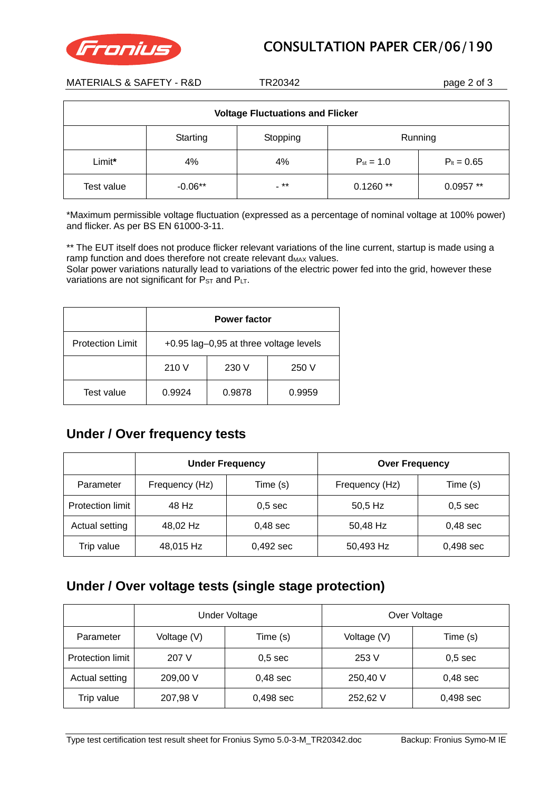



MATERIALS & SAFETY - R&D TR20342 Page 2 of 3

| <b>Voltage Fluctuations and Flicker</b> |                                 |      |                |                 |  |  |
|-----------------------------------------|---------------------------------|------|----------------|-----------------|--|--|
|                                         | Running<br>Starting<br>Stopping |      |                |                 |  |  |
| Limit*                                  | 4%                              | 4%   | $P_{st} = 1.0$ | $P_{it} = 0.65$ |  |  |
| Test value                              | $-0.06**$                       | - ** | $0.1260**$     | $0.0957**$      |  |  |

\*Maximum permissible voltage fluctuation (expressed as a percentage of nominal voltage at 100% power) and flicker. As per BS EN 61000-3-11.

\*\* The EUT itself does not produce flicker relevant variations of the line current, startup is made using a ramp function and does therefore not create relevant  $d_{MAX}$  values.

Solar power variations naturally lead to variations of the electric power fed into the grid, however these variations are not significant for  $P_{ST}$  and  $P_{LT}$ .

|                         | <b>Power factor</b>                    |        |        |  |
|-------------------------|----------------------------------------|--------|--------|--|
| <b>Protection Limit</b> | +0.95 lag-0,95 at three voltage levels |        |        |  |
|                         | 210 V<br>230 V<br>250 V                |        |        |  |
| Test value              | 0.9924                                 | 0.9878 | 0.9959 |  |

#### **Under / Over frequency tests**

|                  | <b>Under Frequency</b> |                    | <b>Over Frequency</b> |            |  |
|------------------|------------------------|--------------------|-----------------------|------------|--|
| Parameter        | Frequency (Hz)         | Time (s)           | Frequency (Hz)        | Time (s)   |  |
| Protection limit | 48 Hz                  | 0.5 <sub>sec</sub> | 50,5 Hz               | $0,5$ sec  |  |
| Actual setting   | 48,02 Hz               | $0,48$ sec         | 50,48 Hz              | $0,48$ sec |  |
| Trip value       | 48,015 Hz              | 0,492 sec          | 50,493 Hz             | 0,498 sec  |  |

### **Under / Over voltage tests (single stage protection)**

|                         | <b>Under Voltage</b> |                    | Over Voltage |             |  |
|-------------------------|----------------------|--------------------|--------------|-------------|--|
| Parameter               | Voltage (V)          | Time (s)           | Voltage (V)  | Time (s)    |  |
| <b>Protection limit</b> | 207 V                | 0.5 <sub>sec</sub> | 253 V        | $0,5$ sec   |  |
| Actual setting          | 209,00 V             | $0,48$ sec         | 250,40 V     | $0,48$ sec  |  |
| Trip value              | 207,98 V             | $0,498$ sec        | 252,62 V     | $0,498$ sec |  |